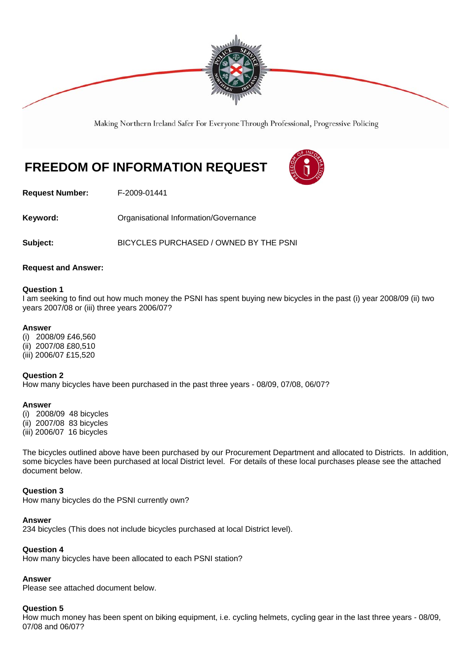

Making Northern Ireland Safer For Everyone Through Professional, Progressive Policing

# **FREEDOM OF INFORMATION REQUEST**



**Request Number:** F-2009-01441

Keyword: **Communistry Communists** Organisational Information/Governance

**Subject:** BICYCLES PURCHASED / OWNED BY THE PSNI

## **Request and Answer:**

## **Question 1**

I am seeking to find out how much money the PSNI has spent buying new bicycles in the past (i) year 2008/09 (ii) two years 2007/08 or (iii) three years 2006/07?

## **Answer**

(i) 2008/09 £46,560 (ii) 2007/08 £80,510 (iii) 2006/07 £15,520

## **Question 2**

How many bicycles have been purchased in the past three years - 08/09, 07/08, 06/07?

## **Answer**

(i) 2008/09 48 bicycles (ii) 2007/08 83 bicycles (iii) 2006/07 16 bicycles

The bicycles outlined above have been purchased by our Procurement Department and allocated to Districts. In addition, some bicycles have been purchased at local District level. For details of these local purchases please see the attached document below.

## **Question 3**

How many bicycles do the PSNI currently own?

## **Answer**

234 bicycles (This does not include bicycles purchased at local District level).

## **Question 4**

How many bicycles have been allocated to each PSNI station?

# **Answer**

Please see attached document below.

# **Question 5**

How much money has been spent on biking equipment, i.e. cycling helmets, cycling gear in the last three years - 08/09, 07/08 and 06/07?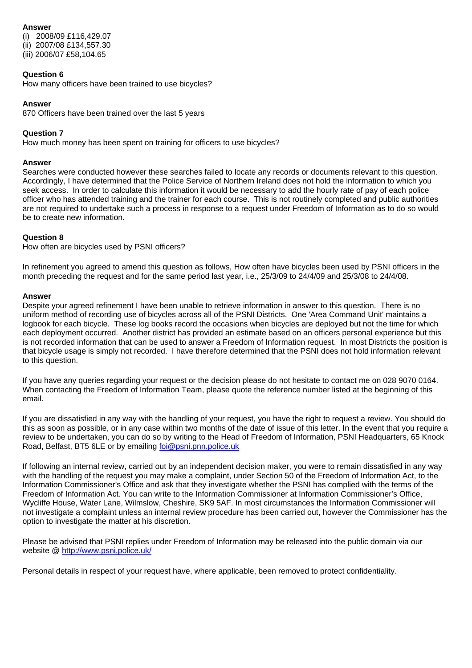## **Answer**

(i) 2008/09 £116,429.07 (ii) 2007/08 £134,557.30 (iii) 2006/07 £58,104.65

## **Question 6**

How many officers have been trained to use bicycles?

## **Answer**

870 Officers have been trained over the last 5 years

## **Question 7**

How much money has been spent on training for officers to use bicycles?

## **Answer**

Searches were conducted however these searches failed to locate any records or documents relevant to this question. Accordingly, I have determined that the Police Service of Northern Ireland does not hold the information to which you seek access. In order to calculate this information it would be necessary to add the hourly rate of pay of each police officer who has attended training and the trainer for each course. This is not routinely completed and public authorities are not required to undertake such a process in response to a request under Freedom of Information as to do so would be to create new information.

## **Question 8**

How often are bicycles used by PSNI officers?

In refinement you agreed to amend this question as follows, How often have bicycles been used by PSNI officers in the month preceding the request and for the same period last year, i.e., 25/3/09 to 24/4/09 and 25/3/08 to 24/4/08.

## **Answer**

Despite your agreed refinement I have been unable to retrieve information in answer to this question. There is no uniform method of recording use of bicycles across all of the PSNI Districts. One 'Area Command Unit' maintains a logbook for each bicycle. These log books record the occasions when bicycles are deployed but not the time for which each deployment occurred. Another district has provided an estimate based on an officers personal experience but this is not recorded information that can be used to answer a Freedom of Information request. In most Districts the position is that bicycle usage is simply not recorded. I have therefore determined that the PSNI does not hold information relevant to this question.

If you have any queries regarding your request or the decision please do not hesitate to contact me on 028 9070 0164. When contacting the Freedom of Information Team, please quote the reference number listed at the beginning of this email.

If you are dissatisfied in any way with the handling of your request, you have the right to request a review. You should do this as soon as possible, or in any case within two months of the date of issue of this letter. In the event that you require a review to be undertaken, you can do so by writing to the Head of Freedom of Information, PSNI Headquarters, 65 Knock Road, Belfast, BT5 6LE or by emailing foi@psni.pnn.police.uk

If following an internal review, carried out by an independent decision maker, you were to remain dissatisfied in any way with the handling of the request you may make a complaint, under Section 50 of the Freedom of Information Act, to the Information Commissioner's Office and ask that they investigate whether the PSNI has complied with the terms of the Freedom of Information Act. You can write to the Information Commissioner at Information Commissioner's Office, Wycliffe House, Water Lane, Wilmslow, Cheshire, SK9 5AF. In most circumstances the Information Commissioner will not investigate a complaint unless an internal review procedure has been carried out, however the Commissioner has the option to investigate the matter at his discretion.

Please be advised that PSNI replies under Freedom of Information may be released into the public domain via our website @ http://www.psni.police.uk/

Personal details in respect of your request have, where applicable, been removed to protect confidentiality.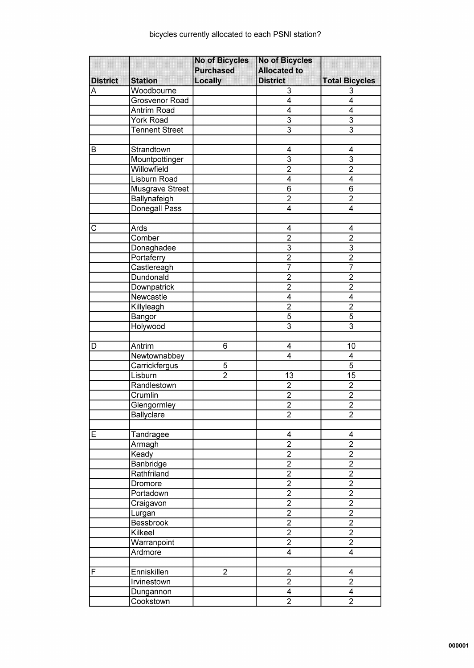|                 |                       | <b>No of Bicycles</b><br><b>Purchased</b> | <b>No of Bicycles</b><br><b>Allocated to</b> |                           |
|-----------------|-----------------------|-------------------------------------------|----------------------------------------------|---------------------------|
| <b>District</b> | <b>Station</b>        | Locally                                   | <b>District</b>                              | <b>Total Bicycles</b>     |
| Α               | Woodbourne            |                                           | $\overline{3}$                               | 3                         |
|                 | Grosvenor Road        |                                           | $\overline{4}$                               | $\overline{4}$            |
|                 | <b>Antrim Road</b>    |                                           | $\overline{4}$                               | 4                         |
|                 | York Road             |                                           | $\overline{\overline{3}}$                    | $\overline{3}$            |
|                 | <b>Tennent Street</b> |                                           | $\overline{\overline{3}}$                    | $\overline{\overline{3}}$ |
|                 |                       |                                           |                                              |                           |
| в               | Strandtown            |                                           | 4                                            | 4                         |
|                 | Mountpottinger        |                                           | $\overline{3}$                               | $\overline{3}$            |
|                 | Willowfield           |                                           | $\overline{2}$                               | $\overline{2}$            |
|                 | Lisburn Road          |                                           | $\overline{\mathbf{4}}$                      | $\overline{\mathbf{4}}$   |
|                 | Musgrave Street       |                                           | $\overline{6}$                               | $\overline{6}$            |
|                 | Ballynafeigh          |                                           | $\overline{2}$                               | $\overline{2}$            |
|                 | Donegall Pass         |                                           | 4                                            | $\overline{4}$            |
|                 |                       |                                           |                                              |                           |
| C               | Ards                  |                                           | 4                                            | 4                         |
|                 | Comber                |                                           | $\overline{2}$                               | $\overline{2}$            |
|                 | Donaghadee            |                                           | $\overline{\overline{3}}$                    | $\overline{3}$            |
|                 | Portaferry            |                                           | $\overline{2}$                               | $\overline{2}$            |
|                 | Castlereagh           |                                           | $\overline{7}$                               | $\overline{7}$            |
|                 | Dundonald             |                                           | $\overline{2}$                               | $\overline{2}$            |
|                 | Downpatrick           |                                           | $\overline{2}$                               | $\overline{2}$            |
|                 | Newcastle             |                                           | 4                                            | 4                         |
|                 | Killyleagh            |                                           | $\overline{2}$                               | $\overline{2}$            |
|                 |                       |                                           | $\overline{5}$                               | $\overline{5}$            |
|                 | Bangor                |                                           | $\overline{3}$                               | $\overline{\mathbf{3}}$   |
|                 | Holywood              |                                           |                                              |                           |
| D               | Antrim                | $\overline{6}$                            | 4                                            | 10                        |
|                 | Newtownabbey          |                                           | 4                                            | 4                         |
|                 | Carrickfergus         | 5                                         |                                              | $\overline{5}$            |
|                 | Lisburn               | $\overline{2}$                            | 13                                           | $\overline{15}$           |
|                 | Randlestown           |                                           | $\overline{2}$                               | $\overline{2}$            |
|                 | Crumlin               |                                           | $\overline{2}$                               | $\overline{2}$            |
|                 |                       |                                           | $\overline{2}$                               | $\overline{2}$            |
|                 | Glengormley           |                                           |                                              |                           |
|                 | Ballyclare            |                                           | 2                                            | 2                         |
| Ε               | Tandragee             |                                           | 4                                            | 4                         |
|                 | Armagh                |                                           | $\overline{2}$                               | $\overline{2}$            |
|                 | Keady                 |                                           | $\overline{2}$                               | $\overline{2}$            |
|                 | <b>Banbridge</b>      |                                           | $\overline{2}$                               | $\overline{2}$            |
|                 | Rathfriland           |                                           | $\overline{2}$                               | $\overline{2}$            |
|                 |                       |                                           | $\overline{2}$                               | $\overline{2}$            |
|                 | Dromore<br>Portadown  |                                           | $\overline{2}$                               | $\overline{2}$            |
|                 |                       |                                           | $\overline{2}$                               | $\overline{2}$            |
|                 | Craigavon             |                                           | $\overline{2}$                               | $\overline{2}$            |
|                 | Lurgan                |                                           | $\overline{2}$                               | $\overline{2}$            |
|                 | <b>Bessbrook</b>      |                                           |                                              |                           |
|                 | Kilkeel               |                                           | $\frac{2}{2}$                                | $\overline{2}$            |
|                 | Warranpoint           |                                           |                                              | $\overline{2}$            |
|                 | Ardmore               |                                           | $\overline{4}$                               | $\overline{4}$            |
| F               | Enniskillen           | $\overline{2}$                            | $\overline{2}$                               | 4                         |
|                 | Irvinestown           |                                           | $\overline{2}$                               | $\overline{2}$            |
|                 | Dungannon             |                                           | $\overline{4}$                               | $\overline{4}$            |
|                 | Cookstown             |                                           | $\overline{2}$                               | $\overline{2}$            |
|                 |                       |                                           |                                              |                           |